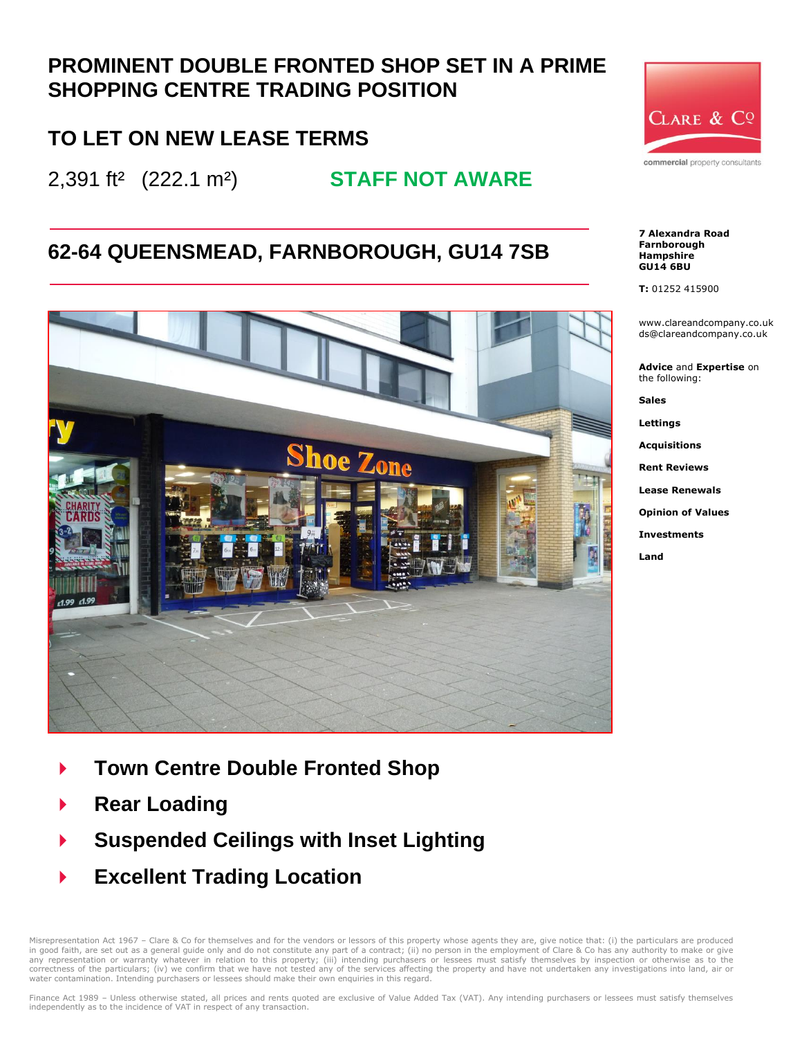## **PROMINENT DOUBLE FRONTED SHOP SET IN A PRIME SHOPPING CENTRE TRADING POSITION**

## **TO LET ON NEW LEASE TERMS**

2,391 ft² (222.1 m²) **STAFF NOT AWARE**

## **62-64 QUEENSMEAD, FARNBOROUGH, GU14 7SB**



CLARE & CQ commercial property consultants

#### **7 Alexandra Road Farnborough Hampshire GU14 6BU**

**T:** 01252 415900

www.clareandcompany.co.uk ds@clareandcompany.co.uk

**Advice** and **Expertise** on the following:

**Sales**

**Lettings**

**Acquisitions**

**Rent Reviews**

**Lease Renewals**

**Opinion of Values**

**Investments**

**Land**

- **Town Centre Double Fronted Shop**
- **Rear Loading**
- **Suspended Ceilings with Inset Lighting**
- **Excellent Trading Location**

Misrepresentation Act 1967 - Clare & Co for themselves and for the vendors or lessors of this property whose agents they are, give notice that: (i) the particulars are produced in good faith, are set out as a general guide only and do not constitute any part of a contract; (ii) no person in the employment of Clare & Co has any authority to make or give<br>any representation or warranty whatever in r correctness of the particulars; (iv) we confirm that we have not tested any of the services affecting the property and have not undertaken any investigations into land, air or water contamination. Intending purchasers or lessees should make their own enquiries in this regard.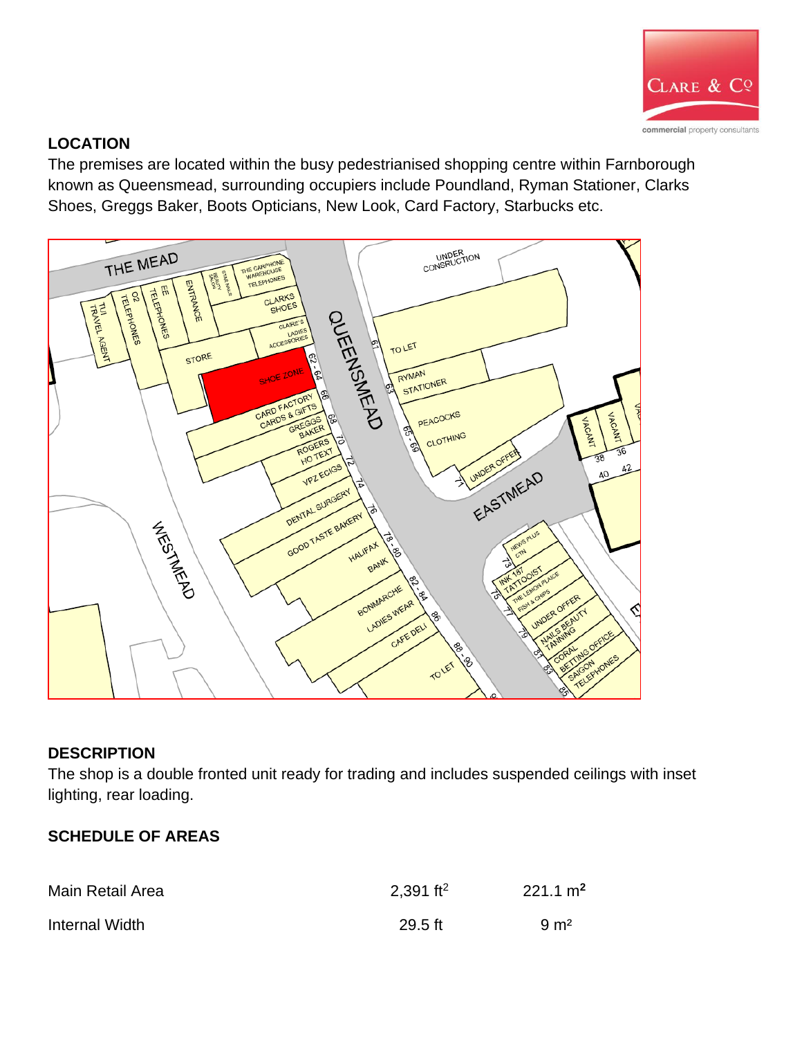

### **LOCATION**

The premises are located within the busy pedestrianised shopping centre within Farnborough known as Queensmead, surrounding occupiers include Poundland, Ryman Stationer, Clarks Shoes, Greggs Baker, Boots Opticians, New Look, Card Factory, Starbucks etc.



### **DESCRIPTION**

The shop is a double fronted unit ready for trading and includes suspended ceilings with inset lighting, rear loading.

### **SCHEDULE OF AREAS**

| Main Retail Area | 2,391 ft <sup>2</sup> | $221.1 \text{ m}^2$ |
|------------------|-----------------------|---------------------|
| Internal Width   | $29.5$ ft             | $9 \text{ m}^2$     |